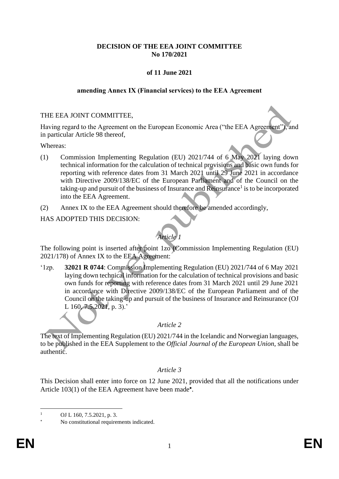### **DECISION OF THE EEA JOINT COMMITTEE No 170/2021**

## **of 11 June 2021**

### **amending Annex IX (Financial services) to the EEA Agreement**

### THE EEA JOINT COMMITTEE,

Having regard to the Agreement on the European Economic Area ("the EEA Agreement"), and in particular Article 98 thereof,

Whereas:

- (1) Commission Implementing Regulation (EU) 2021/744 of 6 May 2021 laying down technical information for the calculation of technical provisions and basic own funds for reporting with reference dates from 31 March 2021 until 29 June 2021 in accordance with Directive 2009/138/EC of the European Parliament and of the Council on the taking-up and pursuit of the business of Insurance and Reinsurance<sup>1</sup> is to be incorporated into the EEA Agreement.
- (2) Annex IX to the EEA Agreement should therefore be amended accordingly,

### HAS ADOPTED THIS DECISION:

# *Article 1*

The following point is inserted after point 1zo (Commission Implementing Regulation (EU) 2021/178) of Annex IX to the EEA Agreement:

'1zp. **32021 R 0744**: Commission Implementing Regulation (EU) 2021/744 of 6 May 2021 laying down technical information for the calculation of technical provisions and basic own funds for reporting with reference dates from 31 March 2021 until 29 June 2021 in accordance with Directive 2009/138/EC of the European Parliament and of the Council on the taking-up and pursuit of the business of Insurance and Reinsurance (OJ L 160, 7.5.2021, p. 3).'

## *Article 2*

The text of Implementing Regulation (EU) 2021/744 in the Icelandic and Norwegian languages, to be published in the EEA Supplement to the *Official Journal of the European Union*, shall be authentic.

#### *Article 3*

This Decision shall enter into force on 12 June 2021, provided that all the notifications under Article 103(1) of the EEA Agreement have been made\*.

OJ L 160, 7.5.2021, p. 3.

No constitutional requirements indicated.